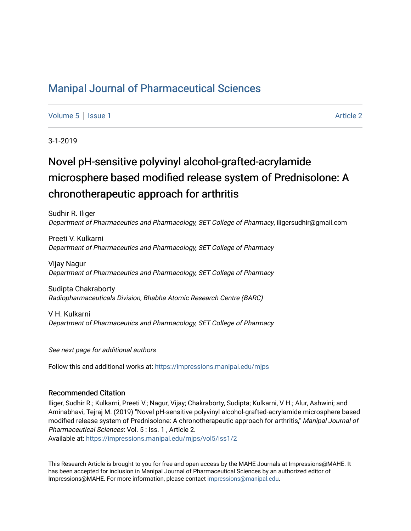## [Manipal Journal of Pharmaceutical Sciences](https://impressions.manipal.edu/mjps)

[Volume 5](https://impressions.manipal.edu/mjps/vol5) | [Issue 1](https://impressions.manipal.edu/mjps/vol5/iss1) Article 2

3-1-2019

# Novel pH-sensitive polyvinyl alcohol-grafted-acrylamide microsphere based modified release system of Prednisolone: A chronotherapeutic approach for arthritis

Sudhir R. Iliger Department of Pharmaceutics and Pharmacology, SET College of Pharmacy, iligersudhir@gmail.com

Preeti V. Kulkarni Department of Pharmaceutics and Pharmacology, SET College of Pharmacy

Vijay Nagur Department of Pharmaceutics and Pharmacology, SET College of Pharmacy

Sudipta Chakraborty Radiopharmaceuticals Division, Bhabha Atomic Research Centre (BARC)

V H. Kulkarni Department of Pharmaceutics and Pharmacology, SET College of Pharmacy

See next page for additional authors

Follow this and additional works at: [https://impressions.manipal.edu/mjps](https://impressions.manipal.edu/mjps?utm_source=impressions.manipal.edu%2Fmjps%2Fvol5%2Fiss1%2F2&utm_medium=PDF&utm_campaign=PDFCoverPages)

#### Recommended Citation

Iliger, Sudhir R.; Kulkarni, Preeti V.; Nagur, Vijay; Chakraborty, Sudipta; Kulkarni, V H.; Alur, Ashwini; and Aminabhavi, Tejraj M. (2019) "Novel pH-sensitive polyvinyl alcohol-grafted-acrylamide microsphere based modified release system of Prednisolone: A chronotherapeutic approach for arthritis," Manipal Journal of Pharmaceutical Sciences: Vol. 5 : Iss. 1 , Article 2.

Available at: [https://impressions.manipal.edu/mjps/vol5/iss1/2](https://impressions.manipal.edu/mjps/vol5/iss1/2?utm_source=impressions.manipal.edu%2Fmjps%2Fvol5%2Fiss1%2F2&utm_medium=PDF&utm_campaign=PDFCoverPages)

This Research Article is brought to you for free and open access by the MAHE Journals at Impressions@MAHE. It has been accepted for inclusion in Manipal Journal of Pharmaceutical Sciences by an authorized editor of Impressions@MAHE. For more information, please contact [impressions@manipal.edu](mailto:impressions@manipal.edu).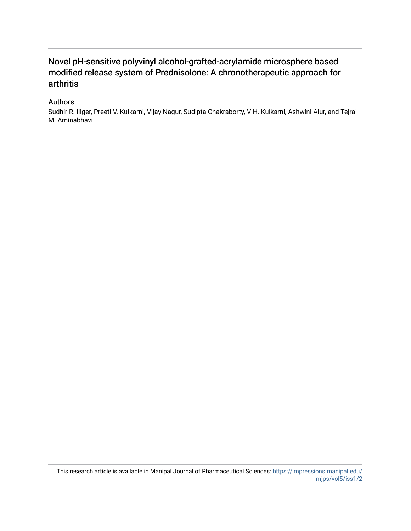## Novel pH-sensitive polyvinyl alcohol-grafted-acrylamide microsphere based modified release system of Prednisolone: A chronotherapeutic approach for arthritis

#### Authors

Sudhir R. Iliger, Preeti V. Kulkarni, Vijay Nagur, Sudipta Chakraborty, V H. Kulkarni, Ashwini Alur, and Tejraj M. Aminabhavi